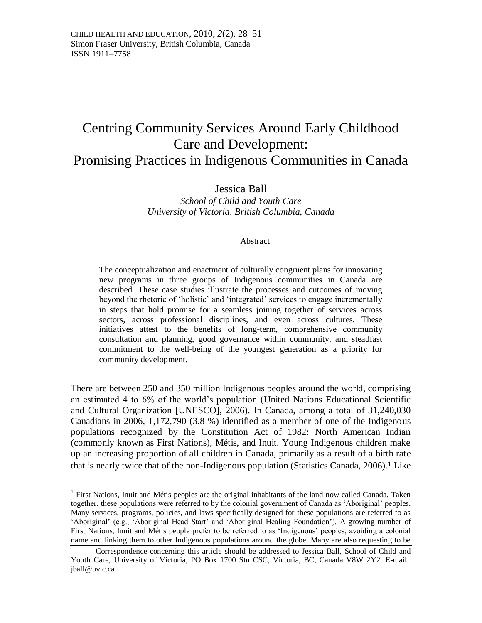# Centring Community Services Around Early Childhood Care and Development: Promising Practices in Indigenous Communities in Canada

## Jessica Ball

*School of Child and Youth Care University of Victoria, British Columbia, Canada*

#### Abstract

The conceptualization and enactment of culturally congruent plans for innovating new programs in three groups of Indigenous communities in Canada are described. These case studies illustrate the processes and outcomes of moving beyond the rhetoric of 'holistic' and 'integrated' services to engage incrementally in steps that hold promise for a seamless joining together of services across sectors, across professional disciplines, and even across cultures. These initiatives attest to the benefits of long-term, comprehensive community consultation and planning, good governance within community, and steadfast commitment to the well-being of the youngest generation as a priority for community development.

There are between 250 and 350 million Indigenous peoples around the world, comprising an estimated 4 to 6% of the world's population (United Nations Educational Scientific and Cultural Organization [UNESCO], 2006). In Canada, among a total of 31,240,030 Canadians in 2006, 1,172,790 (3.8 %) identified as a member of one of the Indigenous populations recognized by the Constitution Act of 1982: North American Indian (commonly known as First Nations), Métis, and Inuit. Young Indigenous children make up an increasing proportion of all children in Canada, primarily as a result of a birth rate that is nearly twice that of the non-Indigenous population (Statistics Canada,  $2006$ ).<sup>1</sup> Like

<sup>&</sup>lt;sup>1</sup> First Nations, Inuit and Métis peoples are the original inhabitants of the land now called Canada. Taken together, these populations were referred to by the colonial government of Canada as ‗Aboriginal' peoples. Many services, programs, policies, and laws specifically designed for these populations are referred to as ‗Aboriginal' (e.g., ‗Aboriginal Head Start' and ‗Aboriginal Healing Foundation'). A growing number of First Nations, Inuit and Métis people prefer to be referred to as 'Indigenous' peoples, avoiding a colonial name and linking them to other Indigenous populations around the globe. Many are also requesting to be

Correspondence concerning this article should be addressed to Jessica Ball, School of Child and Youth Care, University of Victoria, PO Box 1700 Stn CSC, Victoria, BC, Canada V8W 2Y2. E-mail : jball@uvic.ca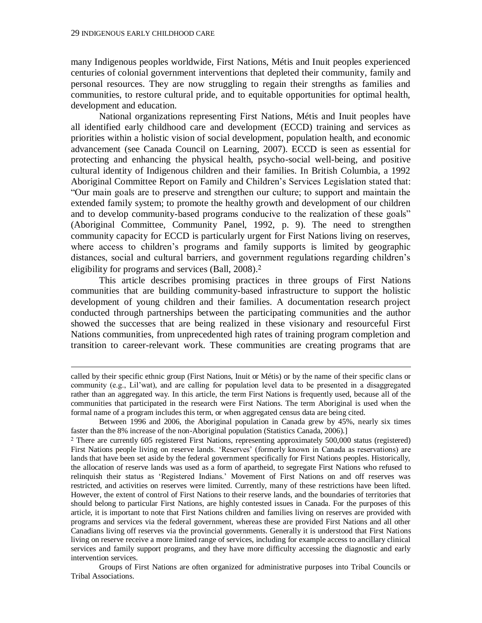$\overline{a}$ 

many Indigenous peoples worldwide, First Nations, Métis and Inuit peoples experienced centuries of colonial government interventions that depleted their community, family and personal resources. They are now struggling to regain their strengths as families and communities, to restore cultural pride, and to equitable opportunities for optimal health, development and education.

National organizations representing First Nations, Métis and Inuit peoples have all identified early childhood care and development (ECCD) training and services as priorities within a holistic vision of social development, population health, and economic advancement (see Canada Council on Learning, 2007). ECCD is seen as essential for protecting and enhancing the physical health, psycho-social well-being, and positive cultural identity of Indigenous children and their families. In British Columbia, a 1992 Aboriginal Committee Report on Family and Children's Services Legislation stated that: ―Our main goals are to preserve and strengthen our culture; to support and maintain the extended family system; to promote the healthy growth and development of our children and to develop community-based programs conducive to the realization of these goals" (Aboriginal Committee, Community Panel, 1992, p. 9). The need to strengthen community capacity for ECCD is particularly urgent for First Nations living on reserves, where access to children's programs and family supports is limited by geographic distances, social and cultural barriers, and government regulations regarding children's eligibility for programs and services (Ball, 2008).<sup>2</sup>

This article describes promising practices in three groups of First Nations communities that are building community-based infrastructure to support the holistic development of young children and their families. A documentation research project conducted through partnerships between the participating communities and the author showed the successes that are being realized in these visionary and resourceful First Nations communities, from unprecedented high rates of training program completion and transition to career-relevant work. These communities are creating programs that are

Groups of First Nations are often organized for administrative purposes into Tribal Councils or Tribal Associations.

called by their specific ethnic group (First Nations, Inuit or Métis) or by the name of their specific clans or community (e.g., Lil'wat), and are calling for population level data to be presented in a disaggregated rather than an aggregated way. In this article, the term First Nations is frequently used, because all of the communities that participated in the research were First Nations. The term Aboriginal is used when the formal name of a program includes this term, or when aggregated census data are being cited.

Between 1996 and 2006, the Aboriginal population in Canada grew by 45%, nearly six times faster than the 8% increase of the non-Aboriginal population (Statistics Canada, 2006).]

<sup>2</sup> There are currently 605 registered First Nations, representing approximately 500,000 status (registered) First Nations people living on reserve lands. 'Reserves' (formerly known in Canada as reservations) are lands that have been set aside by the federal government specifically for First Nations peoples. Historically, the allocation of reserve lands was used as a form of apartheid, to segregate First Nations who refused to relinquish their status as 'Registered Indians.' Movement of First Nations on and off reserves was restricted, and activities on reserves were limited. Currently, many of these restrictions have been lifted. However, the extent of control of First Nations to their reserve lands, and the boundaries of territories that should belong to particular First Nations, are highly contested issues in Canada. For the purposes of this article, it is important to note that First Nations children and families living on reserves are provided with programs and services via the federal government, whereas these are provided First Nations and all other Canadians living off reserves via the provincial governments. Generally it is understood that First Nations living on reserve receive a more limited range of services, including for example access to ancillary clinical services and family support programs, and they have more difficulty accessing the diagnostic and early intervention services.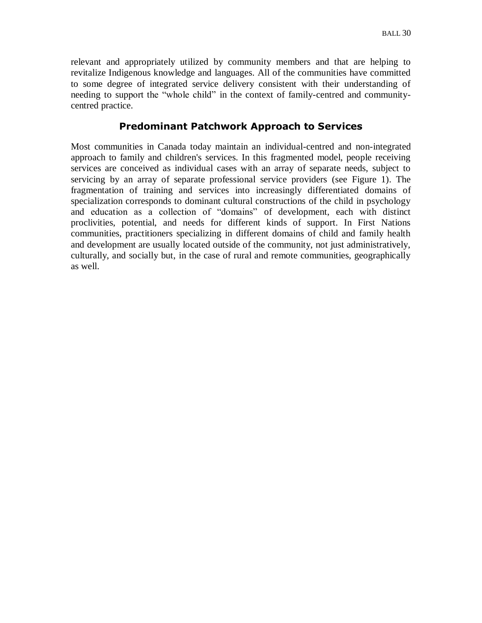relevant and appropriately utilized by community members and that are helping to revitalize Indigenous knowledge and languages. All of the communities have committed to some degree of integrated service delivery consistent with their understanding of needing to support the "whole child" in the context of family-centred and communitycentred practice.

## **Predominant Patchwork Approach to Services**

Most communities in Canada today maintain an individual-centred and non-integrated approach to family and children's services. In this fragmented model, people receiving services are conceived as individual cases with an array of separate needs, subject to servicing by an array of separate professional service providers (see Figure 1). The fragmentation of training and services into increasingly differentiated domains of specialization corresponds to dominant cultural constructions of the child in psychology and education as a collection of "domains" of development, each with distinct proclivities, potential, and needs for different kinds of support. In First Nations communities, practitioners specializing in different domains of child and family health and development are usually located outside of the community, not just administratively, culturally, and socially but, in the case of rural and remote communities, geographically as well.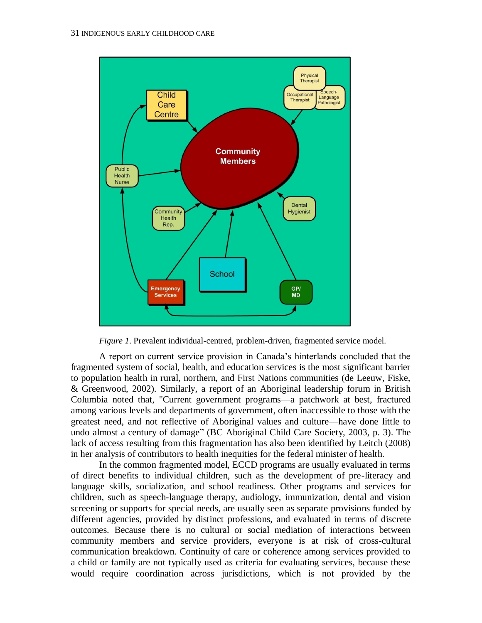

*Figure 1*. Prevalent individual-centred, problem-driven, fragmented service model.

A report on current service provision in Canada's hinterlands concluded that the fragmented system of social, health, and education services is the most significant barrier to population health in rural, northern, and First Nations communities (de Leeuw, Fiske, & Greenwood, 2002). Similarly, a report of an Aboriginal leadership forum in British Columbia noted that, "Current government programs—a patchwork at best, fractured among various levels and departments of government, often inaccessible to those with the greatest need, and not reflective of Aboriginal values and culture—have done little to undo almost a century of damage" (BC Aboriginal Child Care Society, 2003, p. 3). The lack of access resulting from this fragmentation has also been identified by Leitch (2008) in her analysis of contributors to health inequities for the federal minister of health.

In the common fragmented model, ECCD programs are usually evaluated in terms of direct benefits to individual children, such as the development of pre-literacy and language skills, socialization, and school readiness. Other programs and services for children, such as speech-language therapy, audiology, immunization, dental and vision screening or supports for special needs, are usually seen as separate provisions funded by different agencies, provided by distinct professions, and evaluated in terms of discrete outcomes. Because there is no cultural or social mediation of interactions between community members and service providers, everyone is at risk of cross-cultural communication breakdown. Continuity of care or coherence among services provided to a child or family are not typically used as criteria for evaluating services, because these would require coordination across jurisdictions, which is not provided by the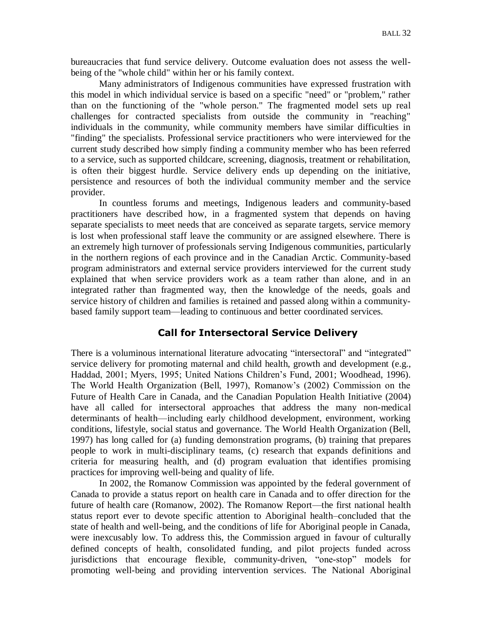bureaucracies that fund service delivery. Outcome evaluation does not assess the wellbeing of the "whole child" within her or his family context.

Many administrators of Indigenous communities have expressed frustration with this model in which individual service is based on a specific "need" or "problem," rather than on the functioning of the "whole person." The fragmented model sets up real challenges for contracted specialists from outside the community in "reaching" individuals in the community, while community members have similar difficulties in "finding" the specialists. Professional service practitioners who were interviewed for the current study described how simply finding a community member who has been referred to a service, such as supported childcare, screening, diagnosis, treatment or rehabilitation, is often their biggest hurdle. Service delivery ends up depending on the initiative, persistence and resources of both the individual community member and the service provider.

In countless forums and meetings, Indigenous leaders and community-based practitioners have described how, in a fragmented system that depends on having separate specialists to meet needs that are conceived as separate targets, service memory is lost when professional staff leave the community or are assigned elsewhere. There is an extremely high turnover of professionals serving Indigenous communities, particularly in the northern regions of each province and in the Canadian Arctic. Community-based program administrators and external service providers interviewed for the current study explained that when service providers work as a team rather than alone, and in an integrated rather than fragmented way, then the knowledge of the needs, goals and service history of children and families is retained and passed along within a communitybased family support team—leading to continuous and better coordinated services.

#### **Call for Intersectoral Service Delivery**

There is a voluminous international literature advocating "intersectoral" and "integrated" service delivery for promoting maternal and child health, growth and development (e.g., Haddad, 2001; Myers, 1995; United Nations Children's Fund, 2001; Woodhead, 1996). The World Health Organization (Bell, 1997), Romanow's (2002) Commission on the Future of Health Care in Canada, and the Canadian Population Health Initiative (2004) have all called for intersectoral approaches that address the many non-medical determinants of health—including early childhood development, environment, working conditions, lifestyle, social status and governance. The World Health Organization (Bell, 1997) has long called for (a) funding demonstration programs, (b) training that prepares people to work in multi-disciplinary teams, (c) research that expands definitions and criteria for measuring health, and (d) program evaluation that identifies promising practices for improving well-being and quality of life.

In 2002, the Romanow Commission was appointed by the federal government of Canada to provide a status report on health care in Canada and to offer direction for the future of health care (Romanow, 2002). The Romanow Report—the first national health status report ever to devote specific attention to Aboriginal health–concluded that the state of health and well-being, and the conditions of life for Aboriginal people in Canada, were inexcusably low. To address this, the Commission argued in favour of culturally defined concepts of health, consolidated funding, and pilot projects funded across jurisdictions that encourage flexible, community-driven, "one-stop" models for promoting well-being and providing intervention services. The National Aboriginal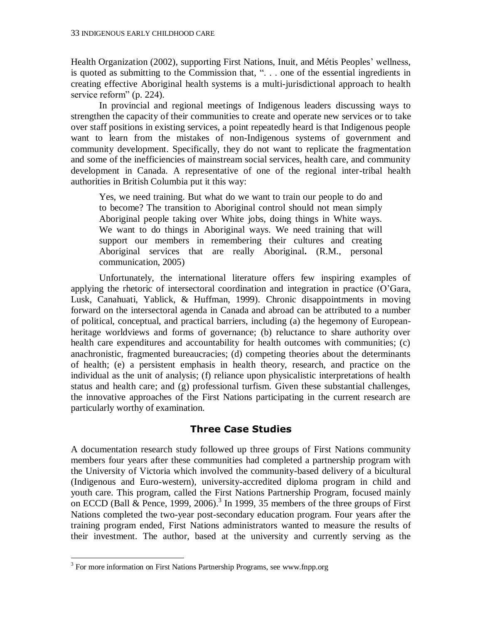Health Organization (2002), supporting First Nations, Inuit, and Métis Peoples' wellness, is quoted as submitting to the Commission that, ". . . one of the essential ingredients in creating effective Aboriginal health systems is a multi-jurisdictional approach to health service reform" (p. 224).

In provincial and regional meetings of Indigenous leaders discussing ways to strengthen the capacity of their communities to create and operate new services or to take over staff positions in existing services, a point repeatedly heard is that Indigenous people want to learn from the mistakes of non-Indigenous systems of government and community development. Specifically, they do not want to replicate the fragmentation and some of the inefficiencies of mainstream social services, health care, and community development in Canada. A representative of one of the regional inter-tribal health authorities in British Columbia put it this way:

Yes, we need training. But what do we want to train our people to do and to become? The transition to Aboriginal control should not mean simply Aboriginal people taking over White jobs, doing things in White ways. We want to do things in Aboriginal ways. We need training that will support our members in remembering their cultures and creating Aboriginal services that are really Aboriginal**.** (R.M., personal communication, 2005)

Unfortunately, the international literature offers few inspiring examples of applying the rhetoric of intersectoral coordination and integration in practice (O'Gara, Lusk, Canahuati, Yablick, & Huffman, 1999). Chronic disappointments in moving forward on the intersectoral agenda in Canada and abroad can be attributed to a number of political, conceptual, and practical barriers, including (a) the hegemony of Europeanheritage worldviews and forms of governance; (b) reluctance to share authority over health care expenditures and accountability for health outcomes with communities; (c) anachronistic, fragmented bureaucracies; (d) competing theories about the determinants of health; (e) a persistent emphasis in health theory, research, and practice on the individual as the unit of analysis; (f) reliance upon physicalistic interpretations of health status and health care; and (g) professional turfism. Given these substantial challenges, the innovative approaches of the First Nations participating in the current research are particularly worthy of examination.

# **Three Case Studies**

A documentation research study followed up three groups of First Nations community members four years after these communities had completed a partnership program with the University of Victoria which involved the community-based delivery of a bicultural (Indigenous and Euro-western), university-accredited diploma program in child and youth care. This program, called the First Nations Partnership Program, focused mainly on ECCD (Ball & Pence, 1999, 2006).<sup>3</sup> In 1999, 35 members of the three groups of First Nations completed the two-year post-secondary education program. Four years after the training program ended, First Nations administrators wanted to measure the results of their investment. The author, based at the university and currently serving as the

<sup>&</sup>lt;sup>3</sup> For more information on First Nations Partnership Programs, see www.fnpp.org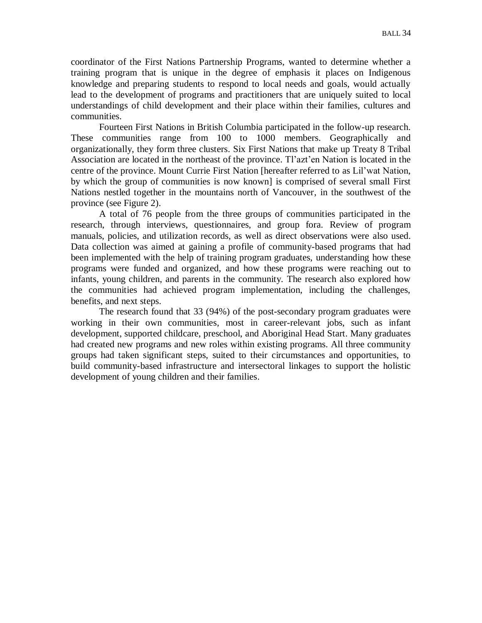coordinator of the First Nations Partnership Programs, wanted to determine whether a training program that is unique in the degree of emphasis it places on Indigenous knowledge and preparing students to respond to local needs and goals, would actually lead to the development of programs and practitioners that are uniquely suited to local understandings of child development and their place within their families, cultures and communities.

Fourteen First Nations in British Columbia participated in the follow-up research. These communities range from 100 to 1000 members. Geographically and organizationally, they form three clusters. Six First Nations that make up Treaty 8 Tribal Association are located in the northeast of the province. Tl'azt'en Nation is located in the centre of the province. Mount Currie First Nation [hereafter referred to as Lil'wat Nation, by which the group of communities is now known] is comprised of several small First Nations nestled together in the mountains north of Vancouver, in the southwest of the province (see Figure 2).

A total of 76 people from the three groups of communities participated in the research, through interviews, questionnaires, and group fora. Review of program manuals, policies, and utilization records, as well as direct observations were also used. Data collection was aimed at gaining a profile of community-based programs that had been implemented with the help of training program graduates, understanding how these programs were funded and organized, and how these programs were reaching out to infants, young children, and parents in the community. The research also explored how the communities had achieved program implementation, including the challenges, benefits, and next steps.

The research found that 33 (94%) of the post-secondary program graduates were working in their own communities, most in career-relevant jobs, such as infant development, supported childcare, preschool, and Aboriginal Head Start. Many graduates had created new programs and new roles within existing programs. All three community groups had taken significant steps, suited to their circumstances and opportunities, to build community-based infrastructure and intersectoral linkages to support the holistic development of young children and their families.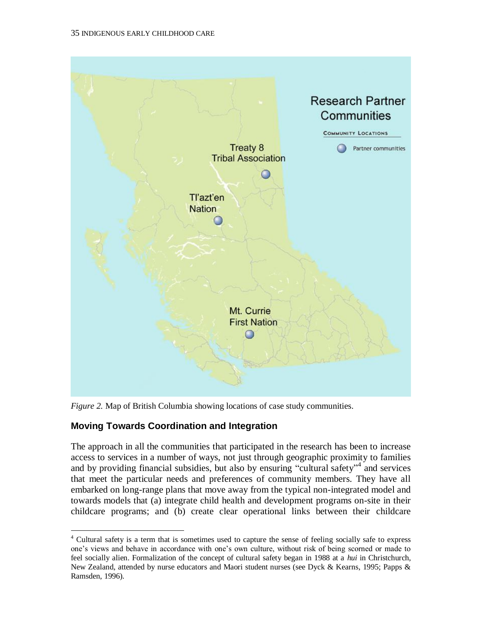

*Figure 2.* Map of British Columbia showing locations of case study communities.

# **Moving Towards Coordination and Integration**

The approach in all the communities that participated in the research has been to increase access to services in a number of ways, not just through geographic proximity to families and by providing financial subsidies, but also by ensuring "cultural safety"<sup>4</sup> and services that meet the particular needs and preferences of community members. They have all embarked on long-range plans that move away from the typical non-integrated model and towards models that (a) integrate child health and development programs on-site in their childcare programs; and (b) create clear operational links between their childcare

 $\overline{a}$ <sup>4</sup> Cultural safety is a term that is sometimes used to capture the sense of feeling socially safe to express one's views and behave in accordance with one's own culture, without risk of being scorned or made to feel socially alien. Formalization of the concept of cultural safety began in 1988 at a *hui* in Christchurch, New Zealand, attended by nurse educators and Maori student nurses (see Dyck & Kearns, 1995; Papps & Ramsden, 1996).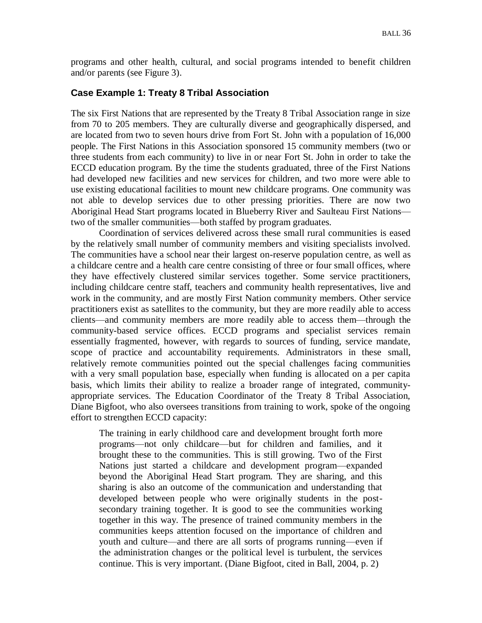programs and other health, cultural, and social programs intended to benefit children and/or parents (see Figure 3).

#### **Case Example 1: Treaty 8 Tribal Association**

The six First Nations that are represented by the Treaty 8 Tribal Association range in size from 70 to 205 members. They are culturally diverse and geographically dispersed, and are located from two to seven hours drive from Fort St. John with a population of 16,000 people. The First Nations in this Association sponsored 15 community members (two or three students from each community) to live in or near Fort St. John in order to take the ECCD education program. By the time the students graduated, three of the First Nations had developed new facilities and new services for children, and two more were able to use existing educational facilities to mount new childcare programs. One community was not able to develop services due to other pressing priorities. There are now two Aboriginal Head Start programs located in Blueberry River and Saulteau First Nations two of the smaller communities—both staffed by program graduates.

Coordination of services delivered across these small rural communities is eased by the relatively small number of community members and visiting specialists involved. The communities have a school near their largest on-reserve population centre, as well as a childcare centre and a health care centre consisting of three or four small offices, where they have effectively clustered similar services together. Some service practitioners, including childcare centre staff, teachers and community health representatives, live and work in the community, and are mostly First Nation community members. Other service practitioners exist as satellites to the community, but they are more readily able to access clients—and community members are more readily able to access them—through the community-based service offices. ECCD programs and specialist services remain essentially fragmented, however, with regards to sources of funding, service mandate, scope of practice and accountability requirements. Administrators in these small, relatively remote communities pointed out the special challenges facing communities with a very small population base, especially when funding is allocated on a per capita basis, which limits their ability to realize a broader range of integrated, communityappropriate services. The Education Coordinator of the Treaty 8 Tribal Association, Diane Bigfoot, who also oversees transitions from training to work, spoke of the ongoing effort to strengthen ECCD capacity:

The training in early childhood care and development brought forth more programs—not only childcare—but for children and families, and it brought these to the communities. This is still growing. Two of the First Nations just started a childcare and development program—expanded beyond the Aboriginal Head Start program. They are sharing, and this sharing is also an outcome of the communication and understanding that developed between people who were originally students in the postsecondary training together. It is good to see the communities working together in this way. The presence of trained community members in the communities keeps attention focused on the importance of children and youth and culture—and there are all sorts of programs running—even if the administration changes or the political level is turbulent, the services continue. This is very important. (Diane Bigfoot, cited in Ball, 2004, p. 2)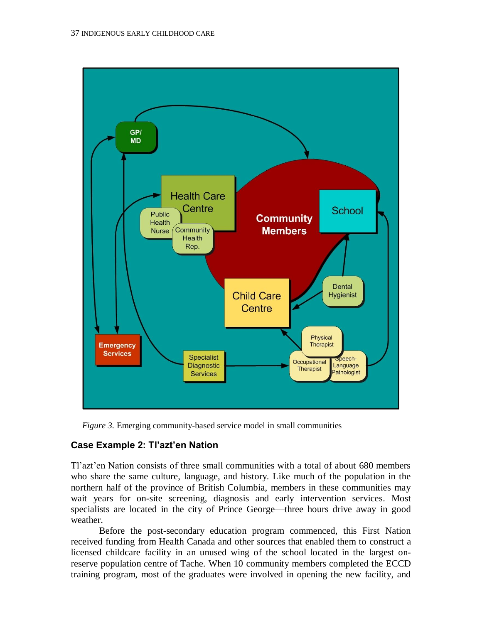

*Figure 3.* Emerging community-based service model in small communities

# **Case Example 2: Tl'azt'en Nation**

Tl'azt'en Nation consists of three small communities with a total of about 680 members who share the same culture, language, and history. Like much of the population in the northern half of the province of British Columbia, members in these communities may wait years for on-site screening, diagnosis and early intervention services. Most specialists are located in the city of Prince George—three hours drive away in good weather.

Before the post-secondary education program commenced, this First Nation received funding from Health Canada and other sources that enabled them to construct a licensed childcare facility in an unused wing of the school located in the largest onreserve population centre of Tache. When 10 community members completed the ECCD training program, most of the graduates were involved in opening the new facility, and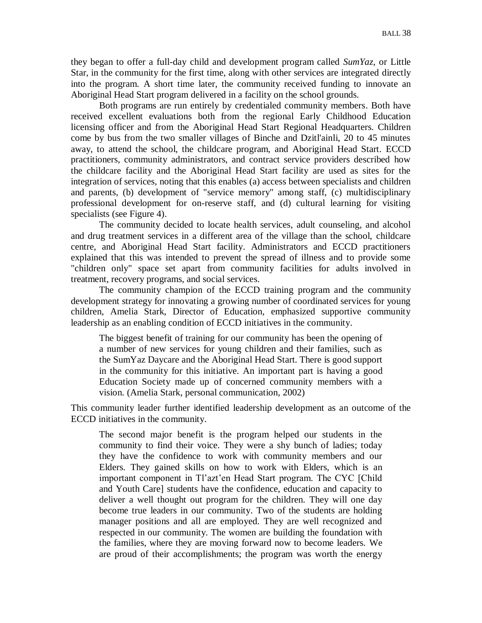they began to offer a full-day child and development program called *SumYaz*, or Little Star, in the community for the first time, along with other services are integrated directly into the program. A short time later, the community received funding to innovate an Aboriginal Head Start program delivered in a facility on the school grounds.

Both programs are run entirely by credentialed community members. Both have received excellent evaluations both from the regional Early Childhood Education licensing officer and from the Aboriginal Head Start Regional Headquarters. Children come by bus from the two smaller villages of Binche and Dzitl'ainli, 20 to 45 minutes away, to attend the school, the childcare program, and Aboriginal Head Start. ECCD practitioners, community administrators, and contract service providers described how the childcare facility and the Aboriginal Head Start facility are used as sites for the integration of services, noting that this enables (a) access between specialists and children and parents, (b) development of "service memory" among staff, (c) multidisciplinary professional development for on-reserve staff, and (d) cultural learning for visiting specialists (see Figure 4).

The community decided to locate health services, adult counseling, and alcohol and drug treatment services in a different area of the village than the school, childcare centre, and Aboriginal Head Start facility. Administrators and ECCD practitioners explained that this was intended to prevent the spread of illness and to provide some "children only" space set apart from community facilities for adults involved in treatment, recovery programs, and social services.

The community champion of the ECCD training program and the community development strategy for innovating a growing number of coordinated services for young children, Amelia Stark, Director of Education, emphasized supportive community leadership as an enabling condition of ECCD initiatives in the community.

The biggest benefit of training for our community has been the opening of a number of new services for young children and their families, such as the SumYaz Daycare and the Aboriginal Head Start. There is good support in the community for this initiative. An important part is having a good Education Society made up of concerned community members with a vision. (Amelia Stark, personal communication, 2002)

This community leader further identified leadership development as an outcome of the ECCD initiatives in the community.

The second major benefit is the program helped our students in the community to find their voice. They were a shy bunch of ladies; today they have the confidence to work with community members and our Elders. They gained skills on how to work with Elders, which is an important component in Tl'azt'en Head Start program. The CYC [Child and Youth Care] students have the confidence, education and capacity to deliver a well thought out program for the children. They will one day become true leaders in our community. Two of the students are holding manager positions and all are employed. They are well recognized and respected in our community. The women are building the foundation with the families, where they are moving forward now to become leaders. We are proud of their accomplishments; the program was worth the energy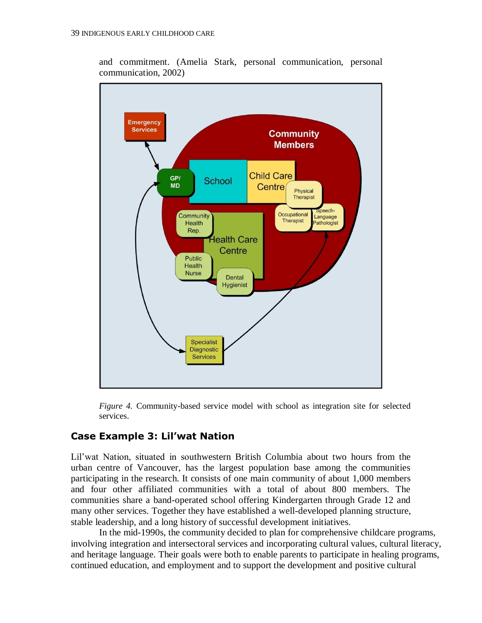

and commitment. (Amelia Stark, personal communication, personal communication, 2002)

*Figure 4.* Community-based service model with school as integration site for selected services.

## **Case Example 3: Lil'wat Nation**

Lil'wat Nation, situated in southwestern British Columbia about two hours from the urban centre of Vancouver, has the largest population base among the communities participating in the research. It consists of one main community of about 1,000 members and four other affiliated communities with a total of about 800 members. The communities share a band-operated school offering Kindergarten through Grade 12 and many other services. Together they have established a well-developed planning structure, stable leadership, and a long history of successful development initiatives.

In the mid-1990s, the community decided to plan for comprehensive childcare programs, involving integration and intersectoral services and incorporating cultural values, cultural literacy, and heritage language. Their goals were both to enable parents to participate in healing programs, continued education, and employment and to support the development and positive cultural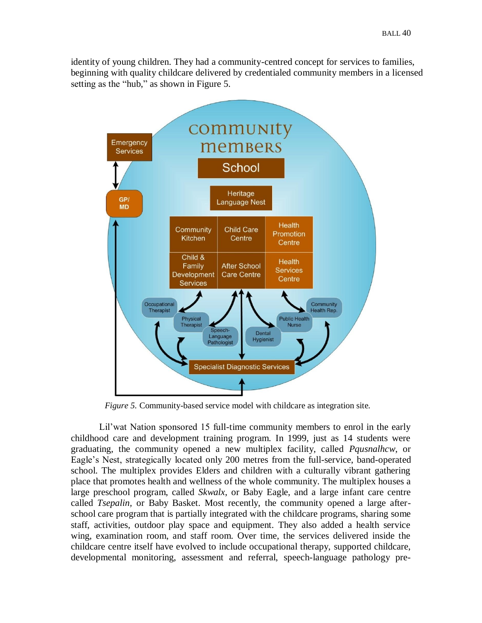identity of young children. They had a community-centred concept for services to families, beginning with quality childcare delivered by credentialed community members in a licensed setting as the "hub," as shown in Figure 5.



*Figure 5.* Community-based service model with childcare as integration site.

Lil'wat Nation sponsored 15 full-time community members to enrol in the early childhood care and development training program. In 1999, just as 14 students were graduating, the community opened a new multiplex facility, called *Pqusnalhcw*, or Eagle's Nest, strategically located only 200 metres from the full-service, band-operated school. The multiplex provides Elders and children with a culturally vibrant gathering place that promotes health and wellness of the whole community. The multiplex houses a large preschool program, called *Skwalx*, or Baby Eagle, and a large infant care centre called *Tsepalin,* or Baby Basket. Most recently, the community opened a large afterschool care program that is partially integrated with the childcare programs, sharing some staff, activities, outdoor play space and equipment. They also added a health service wing, examination room, and staff room. Over time, the services delivered inside the childcare centre itself have evolved to include occupational therapy, supported childcare, developmental monitoring, assessment and referral, speech-language pathology pre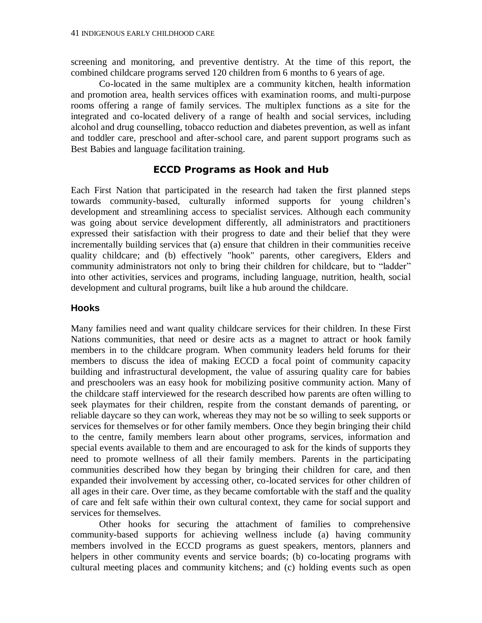screening and monitoring, and preventive dentistry. At the time of this report, the combined childcare programs served 120 children from 6 months to 6 years of age.

Co-located in the same multiplex are a community kitchen, health information and promotion area, health services offices with examination rooms, and multi-purpose rooms offering a range of family services. The multiplex functions as a site for the integrated and co-located delivery of a range of health and social services, including alcohol and drug counselling, tobacco reduction and diabetes prevention, as well as infant and toddler care, preschool and after-school care, and parent support programs such as Best Babies and language facilitation training.

#### **ECCD Programs as Hook and Hub**

Each First Nation that participated in the research had taken the first planned steps towards community-based, culturally informed supports for young children's development and streamlining access to specialist services. Although each community was going about service development differently, all administrators and practitioners expressed their satisfaction with their progress to date and their belief that they were incrementally building services that (a) ensure that children in their communities receive quality childcare; and (b) effectively "hook" parents, other caregivers, Elders and community administrators not only to bring their children for childcare, but to "ladder" into other activities, services and programs, including language, nutrition, health, social development and cultural programs, built like a hub around the childcare.

#### **Hooks**

Many families need and want quality childcare services for their children. In these First Nations communities, that need or desire acts as a magnet to attract or hook family members in to the childcare program. When community leaders held forums for their members to discuss the idea of making ECCD a focal point of community capacity building and infrastructural development, the value of assuring quality care for babies and preschoolers was an easy hook for mobilizing positive community action. Many of the childcare staff interviewed for the research described how parents are often willing to seek playmates for their children, respite from the constant demands of parenting, or reliable daycare so they can work, whereas they may not be so willing to seek supports or services for themselves or for other family members. Once they begin bringing their child to the centre, family members learn about other programs, services, information and special events available to them and are encouraged to ask for the kinds of supports they need to promote wellness of all their family members. Parents in the participating communities described how they began by bringing their children for care, and then expanded their involvement by accessing other, co-located services for other children of all ages in their care. Over time, as they became comfortable with the staff and the quality of care and felt safe within their own cultural context, they came for social support and services for themselves.

Other hooks for securing the attachment of families to comprehensive community-based supports for achieving wellness include (a) having community members involved in the ECCD programs as guest speakers, mentors, planners and helpers in other community events and service boards; (b) co-locating programs with cultural meeting places and community kitchens; and (c) holding events such as open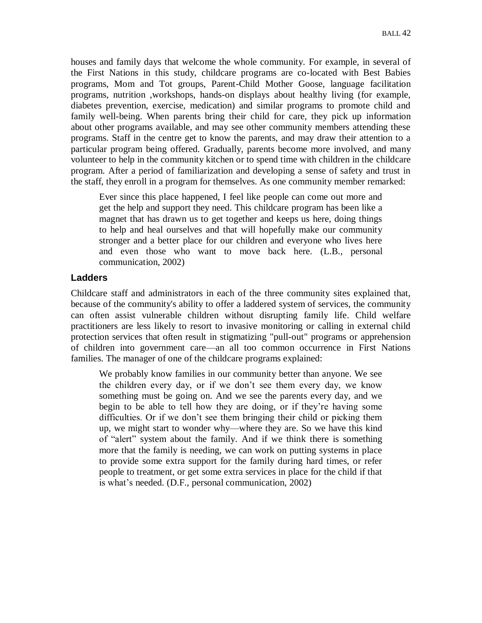houses and family days that welcome the whole community. For example, in several of the First Nations in this study, childcare programs are co-located with Best Babies programs, Mom and Tot groups, Parent-Child Mother Goose, language facilitation programs, nutrition ,workshops, hands-on displays about healthy living (for example, diabetes prevention, exercise, medication) and similar programs to promote child and family well-being. When parents bring their child for care, they pick up information about other programs available, and may see other community members attending these programs. Staff in the centre get to know the parents, and may draw their attention to a particular program being offered. Gradually, parents become more involved, and many volunteer to help in the community kitchen or to spend time with children in the childcare program. After a period of familiarization and developing a sense of safety and trust in the staff, they enroll in a program for themselves. As one community member remarked:

Ever since this place happened, I feel like people can come out more and get the help and support they need. This childcare program has been like a magnet that has drawn us to get together and keeps us here, doing things to help and heal ourselves and that will hopefully make our community stronger and a better place for our children and everyone who lives here and even those who want to move back here. (L.B., personal communication, 2002)

#### **Ladders**

Childcare staff and administrators in each of the three community sites explained that, because of the community's ability to offer a laddered system of services, the community can often assist vulnerable children without disrupting family life. Child welfare practitioners are less likely to resort to invasive monitoring or calling in external child protection services that often result in stigmatizing "pull-out" programs or apprehension of children into government care—an all too common occurrence in First Nations families. The manager of one of the childcare programs explained:

We probably know families in our community better than anyone. We see the children every day, or if we don't see them every day, we know something must be going on. And we see the parents every day, and we begin to be able to tell how they are doing, or if they're having some difficulties. Or if we don't see them bringing their child or picking them up, we might start to wonder why—where they are. So we have this kind of "alert" system about the family. And if we think there is something more that the family is needing, we can work on putting systems in place to provide some extra support for the family during hard times, or refer people to treatment, or get some extra services in place for the child if that is what's needed. (D.F., personal communication, 2002)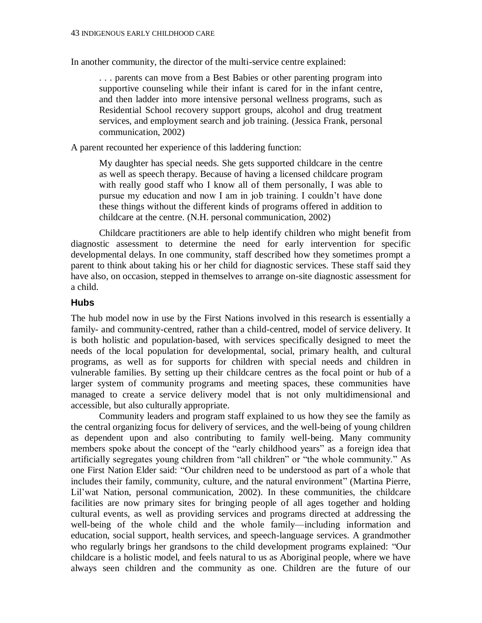In another community, the director of the multi-service centre explained:

. . . parents can move from a Best Babies or other parenting program into supportive counseling while their infant is cared for in the infant centre, and then ladder into more intensive personal wellness programs, such as Residential School recovery support groups, alcohol and drug treatment services, and employment search and job training. (Jessica Frank, personal communication, 2002)

A parent recounted her experience of this laddering function:

My daughter has special needs. She gets supported childcare in the centre as well as speech therapy. Because of having a licensed childcare program with really good staff who I know all of them personally, I was able to pursue my education and now I am in job training. I couldn't have done these things without the different kinds of programs offered in addition to childcare at the centre. (N.H. personal communication, 2002)

Childcare practitioners are able to help identify children who might benefit from diagnostic assessment to determine the need for early intervention for specific developmental delays. In one community, staff described how they sometimes prompt a parent to think about taking his or her child for diagnostic services. These staff said they have also, on occasion, stepped in themselves to arrange on-site diagnostic assessment for a child.

#### **Hubs**

The hub model now in use by the First Nations involved in this research is essentially a family- and community-centred, rather than a child-centred, model of service delivery. It is both holistic and population-based, with services specifically designed to meet the needs of the local population for developmental, social, primary health, and cultural programs, as well as for supports for children with special needs and children in vulnerable families. By setting up their childcare centres as the focal point or hub of a larger system of community programs and meeting spaces, these communities have managed to create a service delivery model that is not only multidimensional and accessible, but also culturally appropriate.

Community leaders and program staff explained to us how they see the family as the central organizing focus for delivery of services, and the well-being of young children as dependent upon and also contributing to family well-being. Many community members spoke about the concept of the "early childhood years" as a foreign idea that artificially segregates young children from "all children" or "the whole community." As one First Nation Elder said: "Our children need to be understood as part of a whole that includes their family, community, culture, and the natural environment" (Martina Pierre, Lil'wat Nation, personal communication, 2002). In these communities, the childcare facilities are now primary sites for bringing people of all ages together and holding cultural events, as well as providing services and programs directed at addressing the well-being of the whole child and the whole family—including information and education, social support, health services, and speech-language services. A grandmother who regularly brings her grandsons to the child development programs explained: "Our childcare is a holistic model, and feels natural to us as Aboriginal people, where we have always seen children and the community as one. Children are the future of our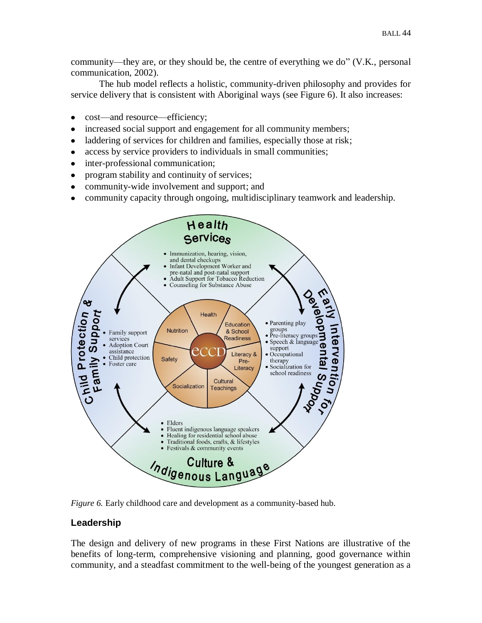community—they are, or they should be, the centre of everything we do"  $(V,K)$ , personal communication, 2002).

The hub model reflects a holistic, community-driven philosophy and provides for service delivery that is consistent with Aboriginal ways (see Figure 6). It also increases:

- cost—and resource—efficiency;
- increased social support and engagement for all community members;  $\bullet$
- laddering of services for children and families, especially those at risk;  $\bullet$
- access by service providers to individuals in small communities;  $\bullet$
- inter-professional communication;  $\bullet$
- program stability and continuity of services;
- community-wide involvement and support; and
- community capacity through ongoing, multidisciplinary teamwork and leadership.



*Figure 6.* Early childhood care and development as a community-based hub.

## **Leadership**

The design and delivery of new programs in these First Nations are illustrative of the benefits of long-term, comprehensive visioning and planning, good governance within community, and a steadfast commitment to the well-being of the youngest generation as a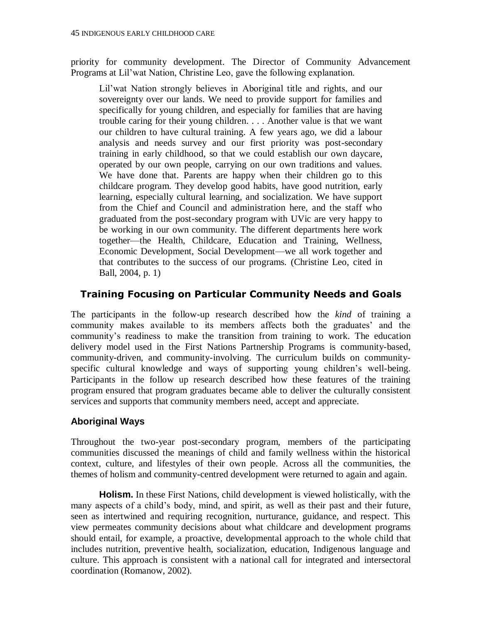priority for community development. The Director of Community Advancement Programs at Lil'wat Nation, Christine Leo, gave the following explanation.

Lil'wat Nation strongly believes in Aboriginal title and rights, and our sovereignty over our lands. We need to provide support for families and specifically for young children, and especially for families that are having trouble caring for their young children. . . . Another value is that we want our children to have cultural training. A few years ago, we did a labour analysis and needs survey and our first priority was post-secondary training in early childhood, so that we could establish our own daycare, operated by our own people, carrying on our own traditions and values. We have done that. Parents are happy when their children go to this childcare program. They develop good habits, have good nutrition, early learning, especially cultural learning, and socialization. We have support from the Chief and Council and administration here, and the staff who graduated from the post-secondary program with UVic are very happy to be working in our own community. The different departments here work together—the Health, Childcare, Education and Training, Wellness, Economic Development, Social Development—we all work together and that contributes to the success of our programs. (Christine Leo, cited in Ball, 2004, p. 1)

# **Training Focusing on Particular Community Needs and Goals**

The participants in the follow-up research described how the *kind* of training a community makes available to its members affects both the graduates' and the community's readiness to make the transition from training to work. The education delivery model used in the First Nations Partnership Programs is community-based, community-driven, and community-involving. The curriculum builds on communityspecific cultural knowledge and ways of supporting young children's well-being. Participants in the follow up research described how these features of the training program ensured that program graduates became able to deliver the culturally consistent services and supports that community members need, accept and appreciate.

# **Aboriginal Ways**

Throughout the two-year post-secondary program, members of the participating communities discussed the meanings of child and family wellness within the historical context, culture, and lifestyles of their own people. Across all the communities, the themes of holism and community-centred development were returned to again and again.

**Holism.** In these First Nations, child development is viewed holistically, with the many aspects of a child's body, mind, and spirit, as well as their past and their future, seen as intertwined and requiring recognition, nurturance, guidance, and respect. This view permeates community decisions about what childcare and development programs should entail, for example, a proactive, developmental approach to the whole child that includes nutrition, preventive health, socialization, education, Indigenous language and culture. This approach is consistent with a national call for integrated and intersectoral coordination (Romanow, 2002).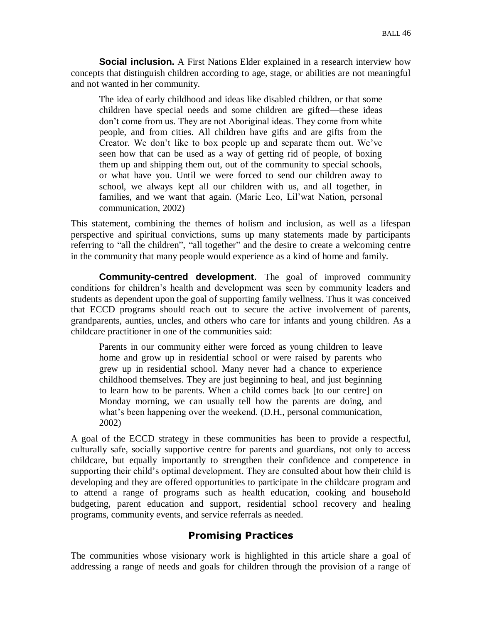**Social inclusion.** A First Nations Elder explained in a research interview how concepts that distinguish children according to age, stage, or abilities are not meaningful and not wanted in her community.

The idea of early childhood and ideas like disabled children, or that some children have special needs and some children are gifted—these ideas don't come from us. They are not Aboriginal ideas. They come from white people, and from cities. All children have gifts and are gifts from the Creator. We don't like to box people up and separate them out. We've seen how that can be used as a way of getting rid of people, of boxing them up and shipping them out, out of the community to special schools, or what have you. Until we were forced to send our children away to school, we always kept all our children with us, and all together, in families, and we want that again. (Marie Leo, Lil'wat Nation, personal communication, 2002)

This statement, combining the themes of holism and inclusion, as well as a lifespan perspective and spiritual convictions, sums up many statements made by participants referring to "all the children", "all together" and the desire to create a welcoming centre in the community that many people would experience as a kind of home and family.

**Community-centred development***.* The goal of improved community conditions for children's health and development was seen by community leaders and students as dependent upon the goal of supporting family wellness. Thus it was conceived that ECCD programs should reach out to secure the active involvement of parents, grandparents, aunties, uncles, and others who care for infants and young children. As a childcare practitioner in one of the communities said:

Parents in our community either were forced as young children to leave home and grow up in residential school or were raised by parents who grew up in residential school. Many never had a chance to experience childhood themselves. They are just beginning to heal, and just beginning to learn how to be parents. When a child comes back [to our centre] on Monday morning, we can usually tell how the parents are doing, and what's been happening over the weekend. (D.H., personal communication, 2002)

A goal of the ECCD strategy in these communities has been to provide a respectful, culturally safe, socially supportive centre for parents and guardians, not only to access childcare, but equally importantly to strengthen their confidence and competence in supporting their child's optimal development. They are consulted about how their child is developing and they are offered opportunities to participate in the childcare program and to attend a range of programs such as health education, cooking and household budgeting, parent education and support, residential school recovery and healing programs, community events, and service referrals as needed.

# **Promising Practices**

The communities whose visionary work is highlighted in this article share a goal of addressing a range of needs and goals for children through the provision of a range of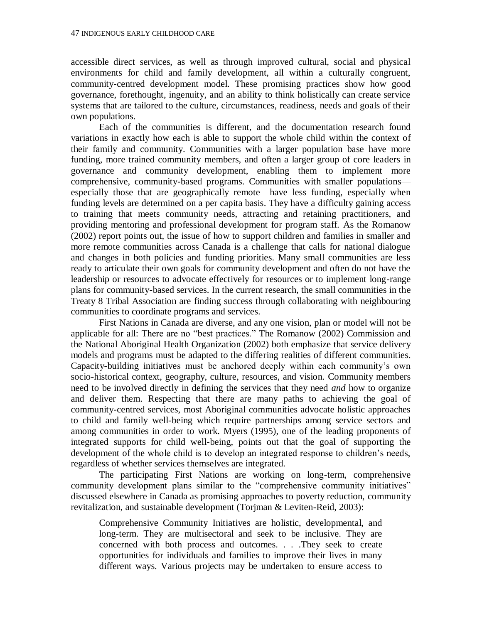accessible direct services, as well as through improved cultural, social and physical environments for child and family development, all within a culturally congruent, community-centred development model. These promising practices show how good governance, forethought, ingenuity, and an ability to think holistically can create service systems that are tailored to the culture, circumstances, readiness, needs and goals of their own populations.

Each of the communities is different, and the documentation research found variations in exactly how each is able to support the whole child within the context of their family and community. Communities with a larger population base have more funding, more trained community members, and often a larger group of core leaders in governance and community development, enabling them to implement more comprehensive, community-based programs. Communities with smaller populations especially those that are geographically remote—have less funding, especially when funding levels are determined on a per capita basis. They have a difficulty gaining access to training that meets community needs, attracting and retaining practitioners, and providing mentoring and professional development for program staff. As the Romanow (2002) report points out, the issue of how to support children and families in smaller and more remote communities across Canada is a challenge that calls for national dialogue and changes in both policies and funding priorities. Many small communities are less ready to articulate their own goals for community development and often do not have the leadership or resources to advocate effectively for resources or to implement long-range plans for community-based services. In the current research, the small communities in the Treaty 8 Tribal Association are finding success through collaborating with neighbouring communities to coordinate programs and services.

First Nations in Canada are diverse, and any one vision, plan or model will not be applicable for all: There are no "best practices." The Romanow (2002) Commission and the National Aboriginal Health Organization (2002) both emphasize that service delivery models and programs must be adapted to the differing realities of different communities. Capacity-building initiatives must be anchored deeply within each community's own socio-historical context, geography, culture, resources, and vision. Community members need to be involved directly in defining the services that they need *and* how to organize and deliver them. Respecting that there are many paths to achieving the goal of community-centred services, most Aboriginal communities advocate holistic approaches to child and family well-being which require partnerships among service sectors and among communities in order to work. Myers (1995), one of the leading proponents of integrated supports for child well-being, points out that the goal of supporting the development of the whole child is to develop an integrated response to children's needs, regardless of whether services themselves are integrated.

The participating First Nations are working on long-term, comprehensive community development plans similar to the "comprehensive community initiatives" discussed elsewhere in Canada as promising approaches to poverty reduction, community revitalization, and sustainable development (Torjman & Leviten-Reid, 2003):

Comprehensive Community Initiatives are holistic, developmental, and long-term. They are multisectoral and seek to be inclusive. They are concerned with both process and outcomes. . . .They seek to create opportunities for individuals and families to improve their lives in many different ways. Various projects may be undertaken to ensure access to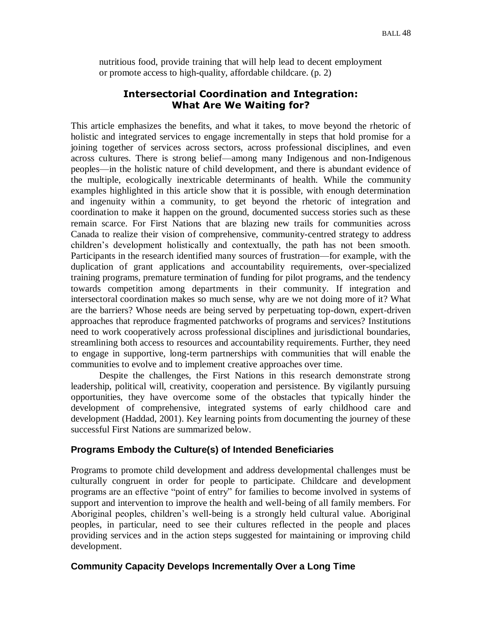nutritious food, provide training that will help lead to decent employment or promote access to high-quality, affordable childcare. (p. 2)

## **Intersectorial Coordination and Integration: What Are We Waiting for?**

This article emphasizes the benefits, and what it takes, to move beyond the rhetoric of holistic and integrated services to engage incrementally in steps that hold promise for a joining together of services across sectors, across professional disciplines, and even across cultures. There is strong belief—among many Indigenous and non-Indigenous peoples—in the holistic nature of child development, and there is abundant evidence of the multiple, ecologically inextricable determinants of health. While the community examples highlighted in this article show that it is possible, with enough determination and ingenuity within a community, to get beyond the rhetoric of integration and coordination to make it happen on the ground, documented success stories such as these remain scarce. For First Nations that are blazing new trails for communities across Canada to realize their vision of comprehensive, community-centred strategy to address children's development holistically and contextually, the path has not been smooth. Participants in the research identified many sources of frustration—for example, with the duplication of grant applications and accountability requirements, over-specialized training programs, premature termination of funding for pilot programs, and the tendency towards competition among departments in their community. If integration and intersectoral coordination makes so much sense, why are we not doing more of it? What are the barriers? Whose needs are being served by perpetuating top-down, expert-driven approaches that reproduce fragmented patchworks of programs and services? Institutions need to work cooperatively across professional disciplines and jurisdictional boundaries, streamlining both access to resources and accountability requirements. Further, they need to engage in supportive, long-term partnerships with communities that will enable the communities to evolve and to implement creative approaches over time.

Despite the challenges, the First Nations in this research demonstrate strong leadership, political will, creativity, cooperation and persistence. By vigilantly pursuing opportunities, they have overcome some of the obstacles that typically hinder the development of comprehensive, integrated systems of early childhood care and development (Haddad, 2001). Key learning points from documenting the journey of these successful First Nations are summarized below.

## **Programs Embody the Culture(s) of Intended Beneficiaries**

Programs to promote child development and address developmental challenges must be culturally congruent in order for people to participate. Childcare and development programs are an effective "point of entry" for families to become involved in systems of support and intervention to improve the health and well-being of all family members. For Aboriginal peoples, children's well-being is a strongly held cultural value. Aboriginal peoples, in particular, need to see their cultures reflected in the people and places providing services and in the action steps suggested for maintaining or improving child development.

## **Community Capacity Develops Incrementally Over a Long Time**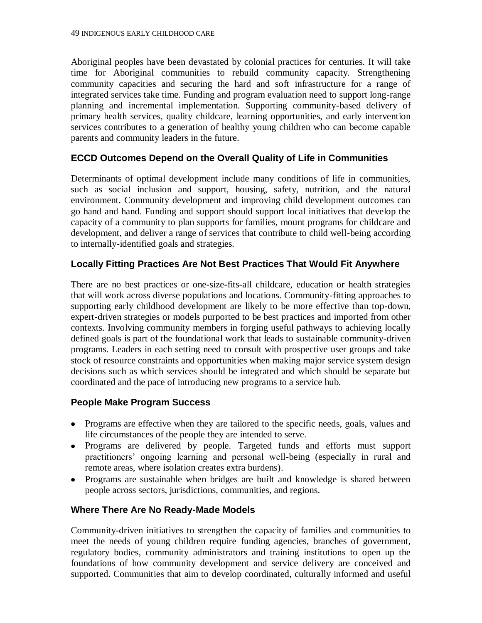Aboriginal peoples have been devastated by colonial practices for centuries. It will take time for Aboriginal communities to rebuild community capacity. Strengthening community capacities and securing the hard and soft infrastructure for a range of integrated services take time. Funding and program evaluation need to support long-range planning and incremental implementation. Supporting community-based delivery of primary health services, quality childcare, learning opportunities, and early intervention services contributes to a generation of healthy young children who can become capable parents and community leaders in the future.

## **ECCD Outcomes Depend on the Overall Quality of Life in Communities**

Determinants of optimal development include many conditions of life in communities, such as social inclusion and support, housing, safety, nutrition, and the natural environment. Community development and improving child development outcomes can go hand and hand. Funding and support should support local initiatives that develop the capacity of a community to plan supports for families, mount programs for childcare and development, and deliver a range of services that contribute to child well-being according to internally-identified goals and strategies.

## **Locally Fitting Practices Are Not Best Practices That Would Fit Anywhere**

There are no best practices or one-size-fits-all childcare, education or health strategies that will work across diverse populations and locations. Community-fitting approaches to supporting early childhood development are likely to be more effective than top-down, expert-driven strategies or models purported to be best practices and imported from other contexts. Involving community members in forging useful pathways to achieving locally defined goals is part of the foundational work that leads to sustainable community-driven programs. Leaders in each setting need to consult with prospective user groups and take stock of resource constraints and opportunities when making major service system design decisions such as which services should be integrated and which should be separate but coordinated and the pace of introducing new programs to a service hub.

## **People Make Program Success**

- Programs are effective when they are tailored to the specific needs, goals, values and life circumstances of the people they are intended to serve.
- Programs are delivered by people. Targeted funds and efforts must support practitioners' ongoing learning and personal well-being (especially in rural and remote areas, where isolation creates extra burdens).
- Programs are sustainable when bridges are built and knowledge is shared between people across sectors, jurisdictions, communities, and regions.

## **Where There Are No Ready-Made Models**

Community-driven initiatives to strengthen the capacity of families and communities to meet the needs of young children require funding agencies, branches of government, regulatory bodies, community administrators and training institutions to open up the foundations of how community development and service delivery are conceived and supported. Communities that aim to develop coordinated, culturally informed and useful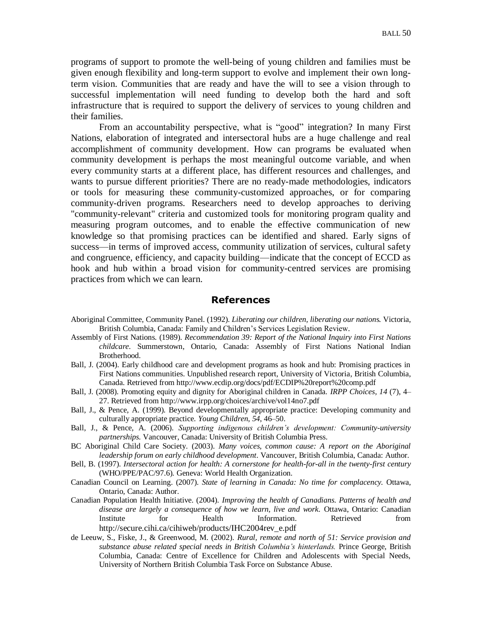programs of support to promote the well-being of young children and families must be given enough flexibility and long-term support to evolve and implement their own longterm vision. Communities that are ready and have the will to see a vision through to successful implementation will need funding to develop both the hard and soft infrastructure that is required to support the delivery of services to young children and their families.

From an accountability perspective, what is "good" integration? In many First Nations, elaboration of integrated and intersectoral hubs are a huge challenge and real accomplishment of community development. How can programs be evaluated when community development is perhaps the most meaningful outcome variable, and when every community starts at a different place, has different resources and challenges, and wants to pursue different priorities? There are no ready-made methodologies, indicators or tools for measuring these community-customized approaches, or for comparing community-driven programs. Researchers need to develop approaches to deriving "community-relevant" criteria and customized tools for monitoring program quality and measuring program outcomes, and to enable the effective communication of new knowledge so that promising practices can be identified and shared. Early signs of success—in terms of improved access, community utilization of services, cultural safety and congruence, efficiency, and capacity building—indicate that the concept of ECCD as hook and hub within a broad vision for community-centred services are promising practices from which we can learn.

#### **References**

- Aboriginal Committee, Community Panel. (1992). *Liberating our children, liberating our nation*s*.* Victoria, British Columbia, Canada: Family and Children's Services Legislation Review.
- Assembly of First Nations. (1989). *Recommendation 39: Report of the National Inquiry into First Nations childcare.* Summerstown, Ontario, Canada: Assembly of First Nations National Indian Brotherhood.
- Ball, J. (2004). Early childhood care and development programs as hook and hub: Promising practices in First Nations communities. Unpublished research report, University of Victoria, British Columbia, Canada. Retrieved from http://www.ecdip.org/docs/pdf/ECDIP%20report%20comp.pdf
- Ball, J. (2008). Promoting equity and dignity for Aboriginal children in Canada. *IRPP Choices, 14* (7), 4– 27. Retrieved from http://www.irpp.org/choices/archive/vol14no7.pdf
- Ball, J., & Pence, A. (1999). Beyond developmentally appropriate practice: Developing community and culturally appropriate practice. *Young Children*, *54*, 46–50.
- Ball, J., & Pence, A. (2006). *Supporting indigenous children's development: Community-university partnerships.* Vancouver, Canada: University of British Columbia Press.
- BC Aboriginal Child Care Society. (2003). *Many voices, common cause: A report on the Aboriginal leadership forum on early childhood development*. Vancouver, British Columbia, Canada: Author.
- Bell, B. (1997). *Intersectoral action for health: A cornerstone for health-for-all in the twenty-first century* (WHO/PPE/PAC/97.6)*.* Geneva: World Health Organization.
- Canadian Council on Learning. (2007). *State of learning in Canada: No time for complacency.* Ottawa, Ontario, Canada: Author.
- Canadian Population Health Initiative. (2004). *Improving the health of Canadians. Patterns of health and disease are largely a consequence of how we learn, live and work.* Ottawa, Ontario: Canadian Institute for Health Information. Retrieved from http://secure.cihi.ca/cihiweb/products/IHC2004rev\_e.pdf
- de Leeuw, S., Fiske, J., & Greenwood, M. (2002). *Rural, remote and north of 51: Service provision and substance abuse related special needs in British Columbia's hinterlands.* Prince George, British Columbia, Canada: Centre of Excellence for Children and Adolescents with Special Needs, University of Northern British Columbia Task Force on Substance Abuse.